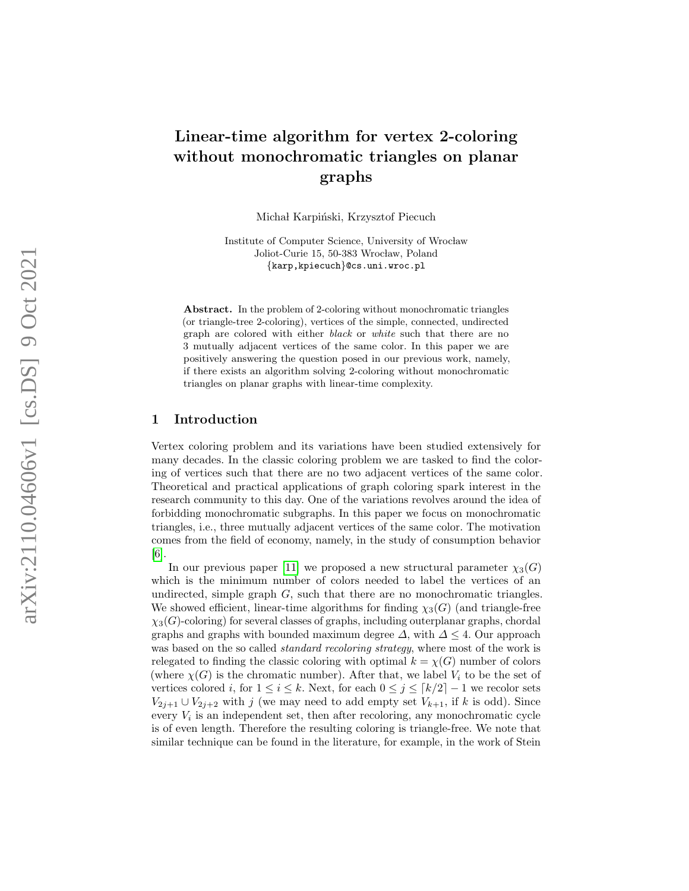# Linear-time algorithm for vertex 2-coloring without monochromatic triangles on planar graphs

Michał Karpiński, Krzysztof Piecuch

Institute of Computer Science, University of Wrocław Joliot-Curie 15, 50-383 Wrocław, Poland {karp,kpiecuch}@cs.uni.wroc.pl

Abstract. In the problem of 2-coloring without monochromatic triangles (or triangle-tree 2-coloring), vertices of the simple, connected, undirected graph are colored with either black or white such that there are no 3 mutually adjacent vertices of the same color. In this paper we are positively answering the question posed in our previous work, namely, if there exists an algorithm solving 2-coloring without monochromatic triangles on planar graphs with linear-time complexity.

## 1 Introduction

Vertex coloring problem and its variations have been studied extensively for many decades. In the classic coloring problem we are tasked to find the coloring of vertices such that there are no two adjacent vertices of the same color. Theoretical and practical applications of graph coloring spark interest in the research community to this day. One of the variations revolves around the idea of forbidding monochromatic subgraphs. In this paper we focus on monochromatic triangles, i.e., three mutually adjacent vertices of the same color. The motivation comes from the field of economy, namely, in the study of consumption behavior [\[6\]](#page-10-0).

In our previous paper [\[11\]](#page-10-1) we proposed a new structural parameter  $\chi_3(G)$ which is the minimum number of colors needed to label the vertices of an undirected, simple graph G, such that there are no monochromatic triangles. We showed efficient, linear-time algorithms for finding  $\chi_3(G)$  (and triangle-free  $\chi_3(G)$ -coloring) for several classes of graphs, including outerplanar graphs, chordal graphs and graphs with bounded maximum degree  $\Delta$ , with  $\Delta \leq 4$ . Our approach was based on the so called *standard recoloring strategy*, where most of the work is relegated to finding the classic coloring with optimal  $k = \chi(G)$  number of colors (where  $\chi(G)$  is the chromatic number). After that, we label  $V_i$  to be the set of vertices colored *i*, for  $1 \le i \le k$ . Next, for each  $0 \le j \le \lceil k/2 \rceil - 1$  we recolor sets  $V_{2j+1} \cup V_{2j+2}$  with j (we may need to add empty set  $V_{k+1}$ , if k is odd). Since every  $V_i$  is an independent set, then after recoloring, any monochromatic cycle is of even length. Therefore the resulting coloring is triangle-free. We note that similar technique can be found in the literature, for example, in the work of Stein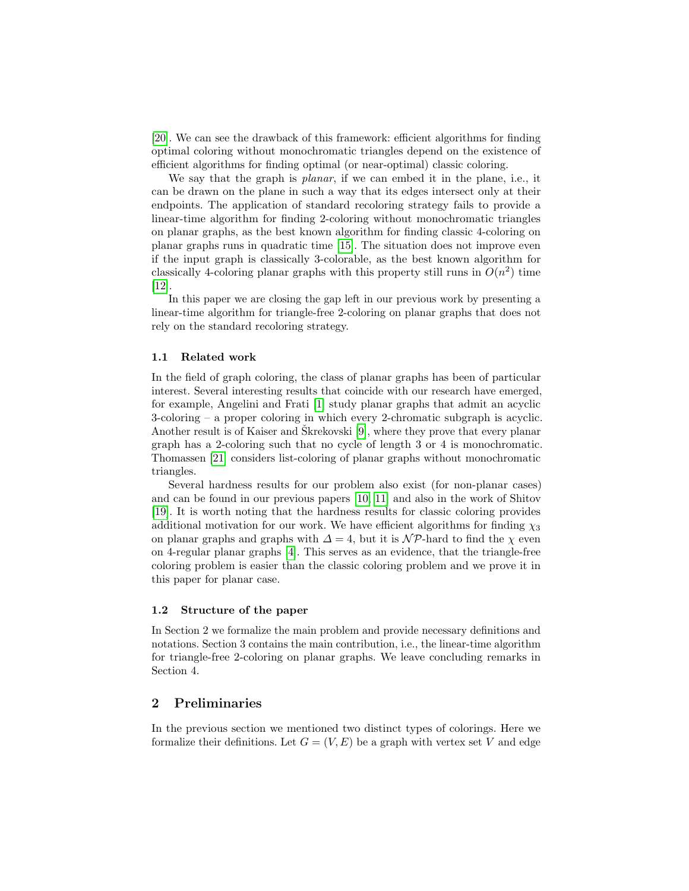[\[20\]](#page-11-0). We can see the drawback of this framework: efficient algorithms for finding optimal coloring without monochromatic triangles depend on the existence of efficient algorithms for finding optimal (or near-optimal) classic coloring.

We say that the graph is planar, if we can embed it in the plane, i.e., it can be drawn on the plane in such a way that its edges intersect only at their endpoints. The application of standard recoloring strategy fails to provide a linear-time algorithm for finding 2-coloring without monochromatic triangles on planar graphs, as the best known algorithm for finding classic 4-coloring on planar graphs runs in quadratic time [\[15\]](#page-10-2). The situation does not improve even if the input graph is classically 3-colorable, as the best known algorithm for classically 4-coloring planar graphs with this property still runs in  $O(n^2)$  time [\[12\]](#page-10-3).

In this paper we are closing the gap left in our previous work by presenting a linear-time algorithm for triangle-free 2-coloring on planar graphs that does not rely on the standard recoloring strategy.

#### 1.1 Related work

In the field of graph coloring, the class of planar graphs has been of particular interest. Several interesting results that coincide with our research have emerged, for example, Angelini and Frati [\[1\]](#page-10-4) study planar graphs that admit an acyclic 3-coloring – a proper coloring in which every 2-chromatic subgraph is acyclic. Another result is of Kaiser and Skrekovski  $[9]$ , where they prove that every planar graph has a 2-coloring such that no cycle of length 3 or 4 is monochromatic. Thomassen [\[21\]](#page-11-1) considers list-coloring of planar graphs without monochromatic triangles.

Several hardness results for our problem also exist (for non-planar cases) and can be found in our previous papers [\[10,](#page-10-6) [11\]](#page-10-1) and also in the work of Shitov [\[19\]](#page-11-2). It is worth noting that the hardness results for classic coloring provides additional motivation for our work. We have efficient algorithms for finding  $\chi_3$ on planar graphs and graphs with  $\Delta = 4$ , but it is  $\mathcal{NP}$ -hard to find the  $\chi$  even on 4-regular planar graphs [\[4\]](#page-10-7). This serves as an evidence, that the triangle-free coloring problem is easier than the classic coloring problem and we prove it in this paper for planar case.

#### 1.2 Structure of the paper

In Section 2 we formalize the main problem and provide necessary definitions and notations. Section 3 contains the main contribution, i.e., the linear-time algorithm for triangle-free 2-coloring on planar graphs. We leave concluding remarks in Section 4.

# 2 Preliminaries

In the previous section we mentioned two distinct types of colorings. Here we formalize their definitions. Let  $G = (V, E)$  be a graph with vertex set V and edge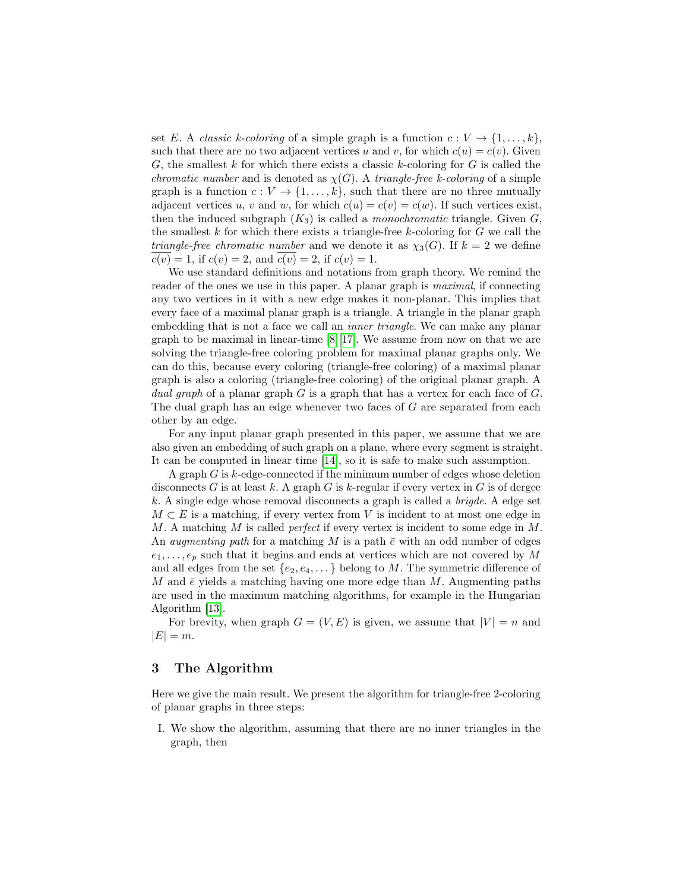set E. A *classic k-coloring* of a simple graph is a function  $c: V \to \{1, \ldots, k\}$ , such that there are no two adjacent vertices u and v, for which  $c(u) = c(v)$ . Given G, the smallest k for which there exists a classic k-coloring for G is called the *chromatic number* and is denoted as  $\chi(G)$ . A *triangle-free k-coloring* of a simple graph is a function  $c: V \to \{1, \ldots, k\}$ , such that there are no three mutually adjacent vertices u, v and w, for which  $c(u) = c(v) = c(w)$ . If such vertices exist, then the induced subgraph  $(K_3)$  is called a *monochromatic* triangle. Given G, the smallest  $k$  for which there exists a triangle-free  $k$ -coloring for  $G$  we call the *triangle-free chromatic number* and we denote it as  $\chi_3(G)$ . If  $k = 2$  we define  $c(v) = 1$ , if  $c(v) = 2$ , and  $c(v) = 2$ , if  $c(v) = 1$ .

We use standard definitions and notations from graph theory. We remind the reader of the ones we use in this paper. A planar graph is *maximal*, if connecting any two vertices in it with a new edge makes it non-planar. This implies that every face of a maximal planar graph is a triangle. A triangle in the planar graph embedding that is not a face we call an inner triangle. We can make any planar graph to be maximal in linear-time [\[8,](#page-10-8) [17\]](#page-11-3). We assume from now on that we are solving the triangle-free coloring problem for maximal planar graphs only. We can do this, because every coloring (triangle-free coloring) of a maximal planar graph is also a coloring (triangle-free coloring) of the original planar graph. A dual graph of a planar graph  $G$  is a graph that has a vertex for each face of  $G$ . The dual graph has an edge whenever two faces of  $G$  are separated from each other by an edge.

For any input planar graph presented in this paper, we assume that we are also given an embedding of such graph on a plane, where every segment is straight. It can be computed in linear time [\[14\]](#page-10-9), so it is safe to make such assumption.

A graph G is k-edge-connected if the minimum number of edges whose deletion disconnects G is at least k. A graph G is k-regular if every vertex in  $G$  is of dergee  $k$ . A single edge whose removal disconnects a graph is called a *brigde*. A edge set  $M \subset E$  is a matching, if every vertex from V is incident to at most one edge in M. A matching M is called *perfect* if every vertex is incident to some edge in M. An *augmenting path* for a matching M is a path  $\bar{e}$  with an odd number of edges  $e_1, \ldots, e_p$  such that it begins and ends at vertices which are not covered by M and all edges from the set  $\{e_2, e_4, \dots\}$  belong to M. The symmetric difference of M and  $\bar{e}$  yields a matching having one more edge than M. Augmenting paths are used in the maximum matching algorithms, for example in the Hungarian Algorithm [\[13\]](#page-10-10).

For brevity, when graph  $G = (V, E)$  is given, we assume that  $|V| = n$  and  $|E| = m$ .

# 3 The Algorithm

Here we give the main result. We present the algorithm for triangle-free 2-coloring of planar graphs in three steps:

I. We show the algorithm, assuming that there are no inner triangles in the graph, then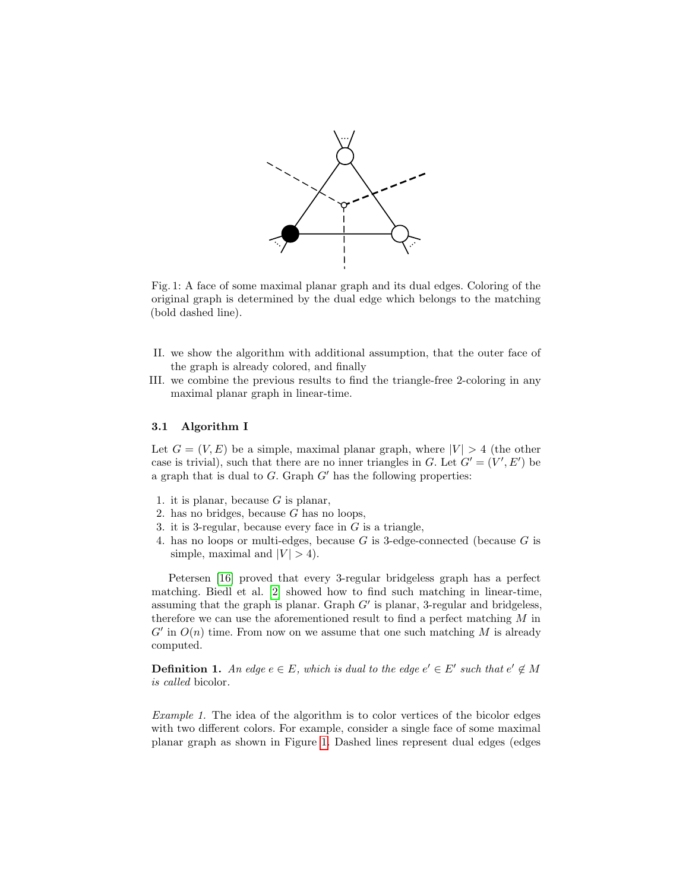<span id="page-3-0"></span>

Fig. 1: A face of some maximal planar graph and its dual edges. Coloring of the original graph is determined by the dual edge which belongs to the matching (bold dashed line).

- II. we show the algorithm with additional assumption, that the outer face of the graph is already colored, and finally
- III. we combine the previous results to find the triangle-free 2-coloring in any maximal planar graph in linear-time.

#### 3.1 Algorithm I

Let  $G = (V, E)$  be a simple, maximal planar graph, where  $|V| > 4$  (the other case is trivial), such that there are no inner triangles in G. Let  $G' = (V', E')$  be a graph that is dual to  $G$ . Graph  $G'$  has the following properties:

- 1. it is planar, because  $G$  is planar,
- 2. has no bridges, because  $G$  has no loops,
- 3. it is 3-regular, because every face in  $G$  is a triangle,
- 4. has no loops or multi-edges, because  $G$  is 3-edge-connected (because  $G$  is simple, maximal and  $|V| > 4$ ).

Petersen [\[16\]](#page-11-4) proved that every 3-regular bridgeless graph has a perfect matching. Biedl et al. [\[2\]](#page-10-11) showed how to find such matching in linear-time, assuming that the graph is planar. Graph  $G'$  is planar, 3-regular and bridgeless, therefore we can use the aforementioned result to find a perfect matching  $M$  in  $G'$  in  $O(n)$  time. From now on we assume that one such matching M is already computed.

<span id="page-3-1"></span>**Definition 1.** An edge  $e \in E$ , which is dual to the edge  $e' \in E'$  such that  $e' \notin M$ is called bicolor.

Example 1. The idea of the algorithm is to color vertices of the bicolor edges with two different colors. For example, consider a single face of some maximal planar graph as shown in Figure [1.](#page-3-0) Dashed lines represent dual edges (edges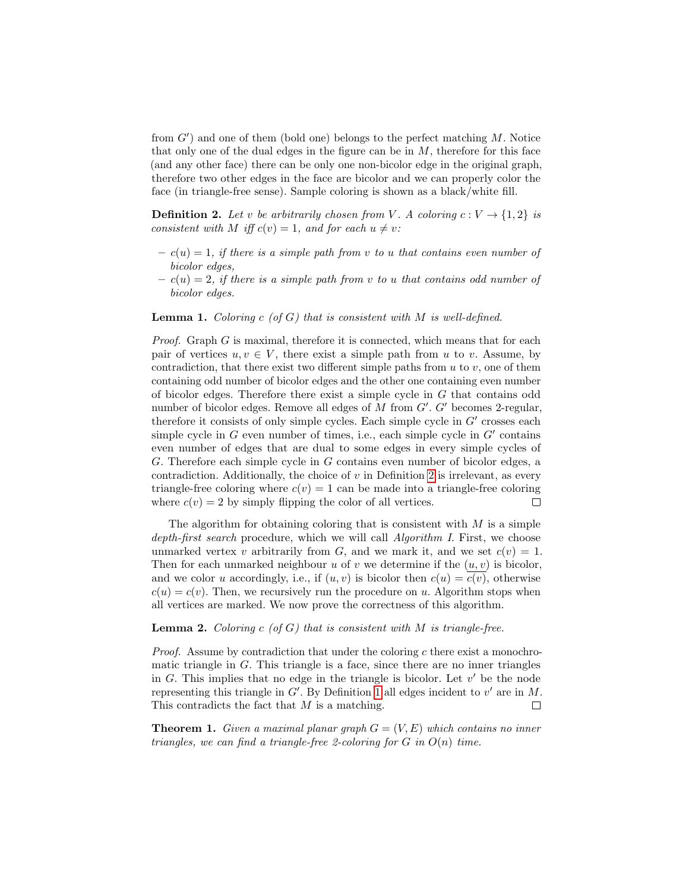from  $G'$ ) and one of them (bold one) belongs to the perfect matching  $M$ . Notice that only one of the dual edges in the figure can be in  $M$ , therefore for this face (and any other face) there can be only one non-bicolor edge in the original graph, therefore two other edges in the face are bicolor and we can properly color the face (in triangle-free sense). Sample coloring is shown as a black/white fill.

<span id="page-4-0"></span>**Definition 2.** Let v be arbitrarily chosen from V. A coloring  $c: V \to \{1,2\}$  is consistent with M iff  $c(v) = 1$ , and for each  $u \neq v$ :

- $c(u) = 1$ , if there is a simple path from v to u that contains even number of bicolor edges,
- $c(u) = 2$ , if there is a simple path from v to u that contains odd number of bicolor edges.

**Lemma 1.** Coloring c (of G) that is consistent with  $M$  is well-defined.

*Proof.* Graph  $G$  is maximal, therefore it is connected, which means that for each pair of vertices  $u, v \in V$ , there exist a simple path from u to v. Assume, by contradiction, that there exist two different simple paths from  $u$  to  $v$ , one of them containing odd number of bicolor edges and the other one containing even number of bicolor edges. Therefore there exist a simple cycle in G that contains odd number of bicolor edges. Remove all edges of  $M$  from  $G'$ .  $G'$  becomes 2-regular, therefore it consists of only simple cycles. Each simple cycle in  $G'$  crosses each simple cycle in  $G$  even number of times, i.e., each simple cycle in  $G'$  contains even number of edges that are dual to some edges in every simple cycles of G. Therefore each simple cycle in G contains even number of bicolor edges, a contradiction. Additionally, the choice of  $v$  in Definition [2](#page-4-0) is irrelevant, as every triangle-free coloring where  $c(v) = 1$  can be made into a triangle-free coloring where  $c(v) = 2$  by simply flipping the color of all vertices.  $\Box$ 

The algorithm for obtaining coloring that is consistent with  $M$  is a simple depth-first search procedure, which we will call *Algorithm I*. First, we choose unmarked vertex v arbitrarily from G, and we mark it, and we set  $c(v) = 1$ . Then for each unmarked neighbour  $u$  of  $v$  we determine if the  $(u, v)$  is bicolor, and we color u accordingly, i.e., if  $(u, v)$  is bicolor then  $c(u) = c(v)$ , otherwise  $c(u) = c(v)$ . Then, we recursively run the procedure on u. Algorithm stops when all vertices are marked. We now prove the correctness of this algorithm.

#### <span id="page-4-1"></span>**Lemma 2.** Coloring  $c$  (of  $G$ ) that is consistent with  $M$  is triangle-free.

*Proof.* Assume by contradiction that under the coloring c there exist a monochromatic triangle in G. This triangle is a face, since there are no inner triangles in  $G$ . This implies that no edge in the triangle is bicolor. Let  $v'$  be the node representing this triangle in  $G'$ . By Definition [1](#page-3-1) all edges incident to  $v'$  are in M. This contradicts the fact that  $M$  is a matching.  $\Box$ 

<span id="page-4-2"></span>**Theorem 1.** Given a maximal planar graph  $G = (V, E)$  which contains no inner triangles, we can find a triangle-free 2-coloring for  $G$  in  $O(n)$  time.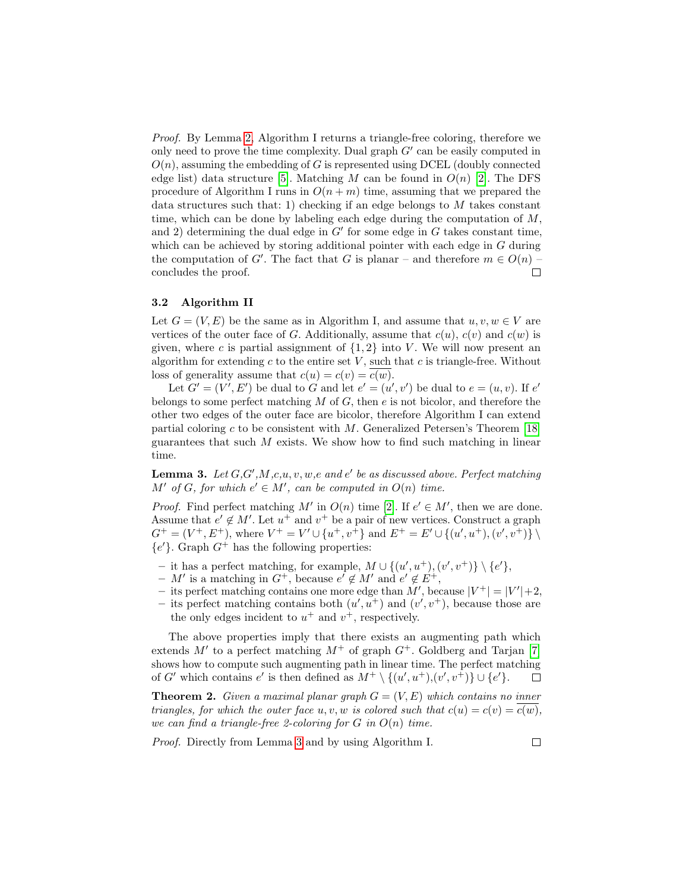Proof. By Lemma [2,](#page-4-1) Algorithm I returns a triangle-free coloring, therefore we only need to prove the time complexity. Dual graph  $G'$  can be easily computed in  $O(n)$ , assuming the embedding of G is represented using DCEL (doubly connected edge list) data structure [\[5\]](#page-10-12). Matching M can be found in  $O(n)$  [\[2\]](#page-10-11). The DFS procedure of Algorithm I runs in  $O(n+m)$  time, assuming that we prepared the data structures such that: 1) checking if an edge belongs to  $M$  takes constant time, which can be done by labeling each edge during the computation of  $M$ , and 2) determining the dual edge in  $G'$  for some edge in  $G$  takes constant time, which can be achieved by storing additional pointer with each edge in G during the computation of G'. The fact that G is planar – and therefore  $m \in O(n)$  – concludes the proof.  $\Box$ 

#### 3.2 Algorithm II

Let  $G = (V, E)$  be the same as in Algorithm I, and assume that  $u, v, w \in V$  are vertices of the outer face of G. Additionally, assume that  $c(u)$ ,  $c(v)$  and  $c(w)$  is given, where c is partial assignment of  $\{1,2\}$  into V. We will now present an algorithm for extending c to the entire set  $V$ , such that c is triangle-free. Without loss of generality assume that  $c(u) = c(v) = c(w)$ .

Let  $G' = (V', E')$  be dual to G and let  $e' = (u', v')$  be dual to  $e = (u, v)$ . If  $e'$ belongs to some perfect matching  $M$  of  $G$ , then  $e$  is not bicolor, and therefore the other two edges of the outer face are bicolor, therefore Algorithm I can extend partial coloring c to be consistent with  $M$ . Generalized Petersen's Theorem [\[18\]](#page-11-5) guarantees that such  $M$  exists. We show how to find such matching in linear time.

<span id="page-5-0"></span>**Lemma 3.** Let  $G, G', M, c, u, v, w, e$  and  $e'$  be as discussed above. Perfect matching  $M'$  of G, for which  $e' \in M'$ , can be computed in  $O(n)$  time.

*Proof.* Find perfect matching M' in  $O(n)$  time [\[2\]](#page-10-11). If  $e' \in M'$ , then we are done. Assume that  $e' \notin M'$ . Let  $u^+$  and  $v^+$  be a pair of new vertices. Construct a graph  $G^+ = (V^+, E^+),$  where  $V^+ = V' \cup \{u^+, v^+\}$  and  $E^+ = E' \cup \{(u', u^+), (v', v^+)\} \setminus$  ${e'}$ . Graph  $G^+$  has the following properties:

- it has a perfect matching, for example,  $M \cup \{(u', u^+), (v', v^+)\} \setminus \{e'\},\$
- $M'$  is a matching in  $G^+$ , because  $e' \notin M'$  and  $e' \notin E^+$ ,
- its perfect matching contains one more edge than M', because  $|V^+| = |V'| + 2$ ,
- its perfect matching contains both  $(u', u^+)$  and  $(v', v^+)$ , because those are the only edges incident to  $u^+$  and  $v^+$ , respectively.

The above properties imply that there exists an augmenting path which extends  $M'$  to a perfect matching  $M^+$  of graph  $G^+$ . Goldberg and Tarjan [\[7\]](#page-10-13) shows how to compute such augmenting path in linear time. The perfect matching of G' which contains  $e'$  is then defined as  $M^+ \setminus \{(u', u^+), (v', v^+) \} \cup \{e'\}.$  $\Box$ 

<span id="page-5-1"></span>**Theorem 2.** Given a maximal planar graph  $G = (V, E)$  which contains no inner triangles, for which the outer face  $u, v, w$  is colored such that  $c(u) = c(v) = c(w)$ , we can find a triangle-free 2-coloring for  $G$  in  $O(n)$  time.

Proof. Directly from Lemma [3](#page-5-0) and by using Algorithm I.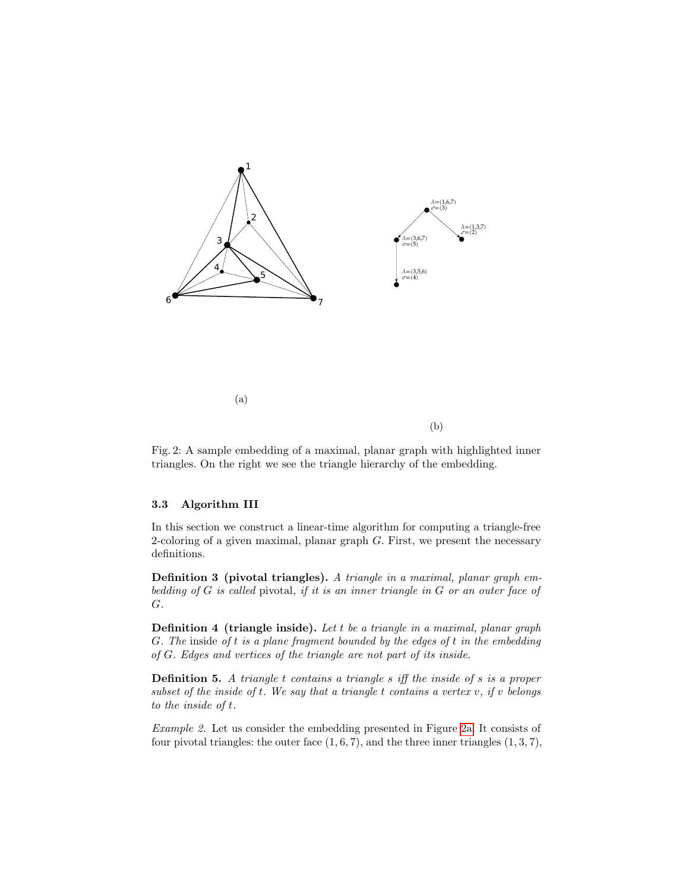<span id="page-6-1"></span><span id="page-6-0"></span>

Fig. 2: A sample embedding of a maximal, planar graph with highlighted inner triangles. On the right we see the triangle hierarchy of the embedding.

#### 3.3 Algorithm III

In this section we construct a linear-time algorithm for computing a triangle-free 2-coloring of a given maximal, planar graph  $G$ . First, we present the necessary definitions.

Definition 3 (pivotal triangles). A triangle in a maximal, planar graph embedding of G is called pivotal, if it is an inner triangle in G or an outer face of G.

**Definition 4 (triangle inside).** Let  $t$  be a triangle in a maximal, planar graph G. The inside of t is a plane fragment bounded by the edges of t in the embedding of G. Edges and vertices of the triangle are not part of its inside.

Definition 5. A triangle t contains a triangle s iff the inside of s is a proper subset of the inside of  $t$ . We say that a triangle  $t$  contains a vertex  $v$ , if  $v$  belongs to the inside of t.

Example 2. Let us consider the embedding presented in Figure [2a.](#page-6-0) It consists of four pivotal triangles: the outer face  $(1, 6, 7)$ , and the three inner triangles  $(1, 3, 7)$ ,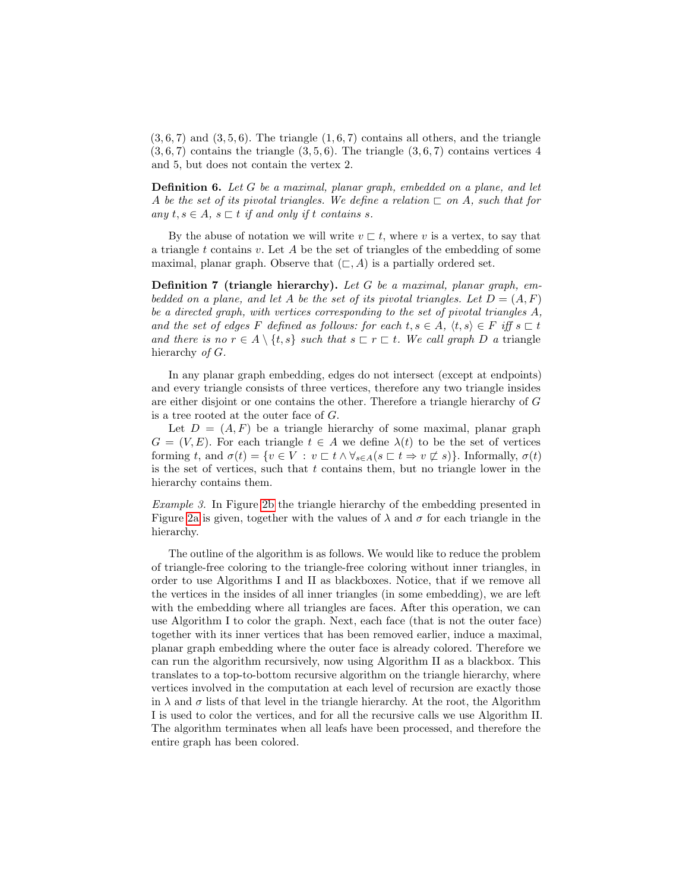$(3, 6, 7)$  and  $(3, 5, 6)$ . The triangle  $(1, 6, 7)$  contains all others, and the triangle  $(3, 6, 7)$  contains the triangle  $(3, 5, 6)$ . The triangle  $(3, 6, 7)$  contains vertices 4 and 5, but does not contain the vertex 2.

Definition 6. Let G be a maximal, planar graph, embedded on a plane, and let A be the set of its pivotal triangles. We define a relation  $\sqsubset$  on A, such that for any  $t, s \in A$ ,  $s \sqsubset t$  if and only if t contains s.

By the abuse of notation we will write  $v \sqsubset t$ , where v is a vertex, to say that a triangle t contains v. Let A be the set of triangles of the embedding of some maximal, planar graph. Observe that  $(\sqsubset, A)$  is a partially ordered set.

**Definition 7** (triangle hierarchy). Let G be a maximal, planar graph, embedded on a plane, and let A be the set of its pivotal triangles. Let  $D = (A, F)$ be a directed graph, with vertices corresponding to the set of pivotal triangles A, and the set of edges F defined as follows: for each  $t, s \in A$ ,  $\langle t, s \rangle \in F$  iff  $s \sqsubset t$ and there is no  $r \in A \setminus \{t, s\}$  such that  $s \sqsubset r \sqsubset t$ . We call graph D a triangle hierarchy of G.

In any planar graph embedding, edges do not intersect (except at endpoints) and every triangle consists of three vertices, therefore any two triangle insides are either disjoint or one contains the other. Therefore a triangle hierarchy of G is a tree rooted at the outer face of G.

Let  $D = (A, F)$  be a triangle hierarchy of some maximal, planar graph  $G = (V, E)$ . For each triangle  $t \in A$  we define  $\lambda(t)$  to be the set of vertices forming t, and  $\sigma(t) = \{v \in V : v \sqsubset t \wedge \forall_{s \in A} (s \sqsubset t \Rightarrow v \not\sqsubset s)\}\.$  Informally,  $\sigma(t)$ is the set of vertices, such that  $t$  contains them, but no triangle lower in the hierarchy contains them.

Example 3. In Figure [2b](#page-6-1) the triangle hierarchy of the embedding presented in Figure [2a](#page-6-0) is given, together with the values of  $\lambda$  and  $\sigma$  for each triangle in the hierarchy.

The outline of the algorithm is as follows. We would like to reduce the problem of triangle-free coloring to the triangle-free coloring without inner triangles, in order to use Algorithms I and II as blackboxes. Notice, that if we remove all the vertices in the insides of all inner triangles (in some embedding), we are left with the embedding where all triangles are faces. After this operation, we can use Algorithm I to color the graph. Next, each face (that is not the outer face) together with its inner vertices that has been removed earlier, induce a maximal, planar graph embedding where the outer face is already colored. Therefore we can run the algorithm recursively, now using Algorithm II as a blackbox. This translates to a top-to-bottom recursive algorithm on the triangle hierarchy, where vertices involved in the computation at each level of recursion are exactly those in  $\lambda$  and  $\sigma$  lists of that level in the triangle hierarchy. At the root, the Algorithm I is used to color the vertices, and for all the recursive calls we use Algorithm II. The algorithm terminates when all leafs have been processed, and therefore the entire graph has been colored.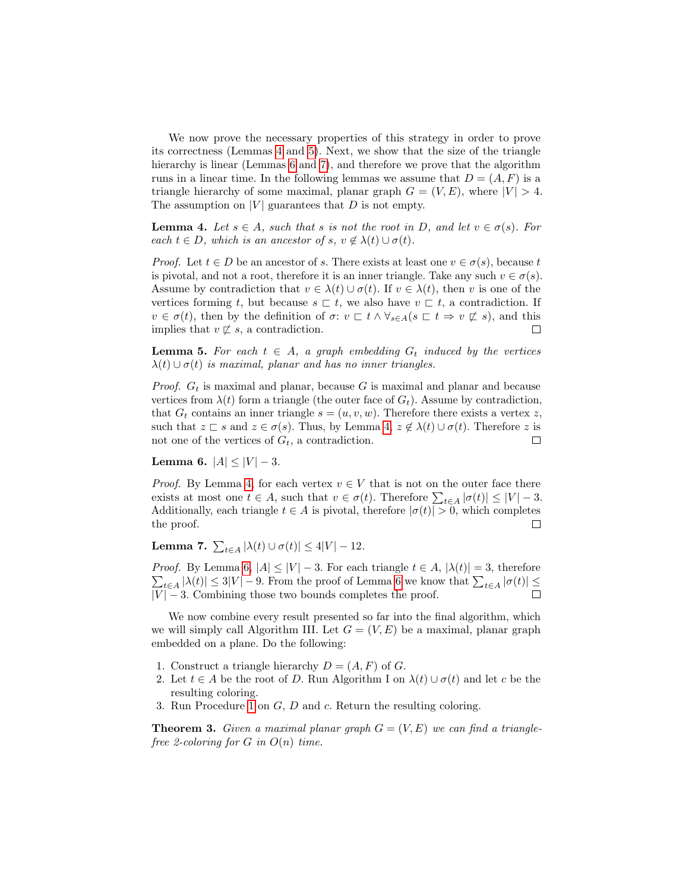We now prove the necessary properties of this strategy in order to prove its correctness (Lemmas [4](#page-8-0) and [5\)](#page-8-1). Next, we show that the size of the triangle hierarchy is linear (Lemmas [6](#page-8-2) and [7\)](#page-8-3), and therefore we prove that the algorithm runs in a linear time. In the following lemmas we assume that  $D = (A, F)$  is a triangle hierarchy of some maximal, planar graph  $G = (V, E)$ , where  $|V| > 4$ . The assumption on  $|V|$  guarantees that  $D$  is not empty.

<span id="page-8-0"></span>**Lemma 4.** Let  $s \in A$ , such that s is not the root in D, and let  $v \in \sigma(s)$ . For each  $t \in D$ , which is an ancestor of s,  $v \notin \lambda(t) \cup \sigma(t)$ .

*Proof.* Let  $t \in D$  be an ancestor of s. There exists at least one  $v \in \sigma(s)$ , because t is pivotal, and not a root, therefore it is an inner triangle. Take any such  $v \in \sigma(s)$ . Assume by contradiction that  $v \in \lambda(t) \cup \sigma(t)$ . If  $v \in \lambda(t)$ , then v is one of the vertices forming t, but because  $s \subseteq t$ , we also have  $v \subseteq t$ , a contradiction. If  $v \in \sigma(t)$ , then by the definition of  $\sigma: v \subset t \wedge \forall_{s \in A} (s \subset t \Rightarrow v \not\sqsubset s)$ , and this implies that  $v \not\sqsubset s$ , a contradiction.  $\Box$ 

<span id="page-8-1"></span>**Lemma 5.** For each  $t \in A$ , a graph embedding  $G_t$  induced by the vertices  $\lambda(t) \cup \sigma(t)$  is maximal, planar and has no inner triangles.

*Proof.*  $G_t$  is maximal and planar, because G is maximal and planar and because vertices from  $\lambda(t)$  form a triangle (the outer face of  $G_t$ ). Assume by contradiction, that  $G_t$  contains an inner triangle  $s = (u, v, w)$ . Therefore there exists a vertex z, such that  $z \subset s$  and  $z \in \sigma(s)$ . Thus, by Lemma [4,](#page-8-0)  $z \notin \lambda(t) \cup \sigma(t)$ . Therefore z is not one of the vertices of  $G_t$ , a contradiction.  $\Box$ 

<span id="page-8-2"></span>Lemma 6.  $|A| \leq |V| - 3$ .

*Proof.* By Lemma [4,](#page-8-0) for each vertex  $v \in V$  that is not on the outer face there exists at most one  $t \in A$ , such that  $v \in \sigma(t)$ . Therefore  $\sum_{t \in A} |\sigma(t)| \leq |V| - 3$ . Additionally, each triangle  $t \in A$  is pivotal, therefore  $|\sigma(t)| > 0$ , which completes the proof.  $\Box$ 

<span id="page-8-3"></span>**Lemma 7.**  $\sum_{t \in A} |\lambda(t) \cup \sigma(t)| \le 4|V| - 12$ .

*Proof.* By Lemma [6,](#page-8-2)  $|A| \leq |V| - 3$ . For each triangle  $t \in A$ ,  $|\lambda(t)| = 3$ , therefore  $\sum_{t\in A} |\lambda(t)| \leq 3|V| - 9$ . From the proof of Lemma [6](#page-8-2) we know that  $\sum_{t\in A} |\sigma(t)| \leq$  $|V| - 3$ . Combining those two bounds completes the proof.

We now combine every result presented so far into the final algorithm, which we will simply call Algorithm III. Let  $G = (V, E)$  be a maximal, planar graph embedded on a plane. Do the following:

- 1. Construct a triangle hierarchy  $D = (A, F)$  of G.
- 2. Let  $t \in A$  be the root of D. Run Algorithm I on  $\lambda(t) \cup \sigma(t)$  and let c be the resulting coloring.
- 3. Run Procedure [1](#page-9-0) on G, D and c. Return the resulting coloring.

**Theorem 3.** Given a maximal planar graph  $G = (V, E)$  we can find a trianglefree 2-coloring for  $G$  in  $O(n)$  time.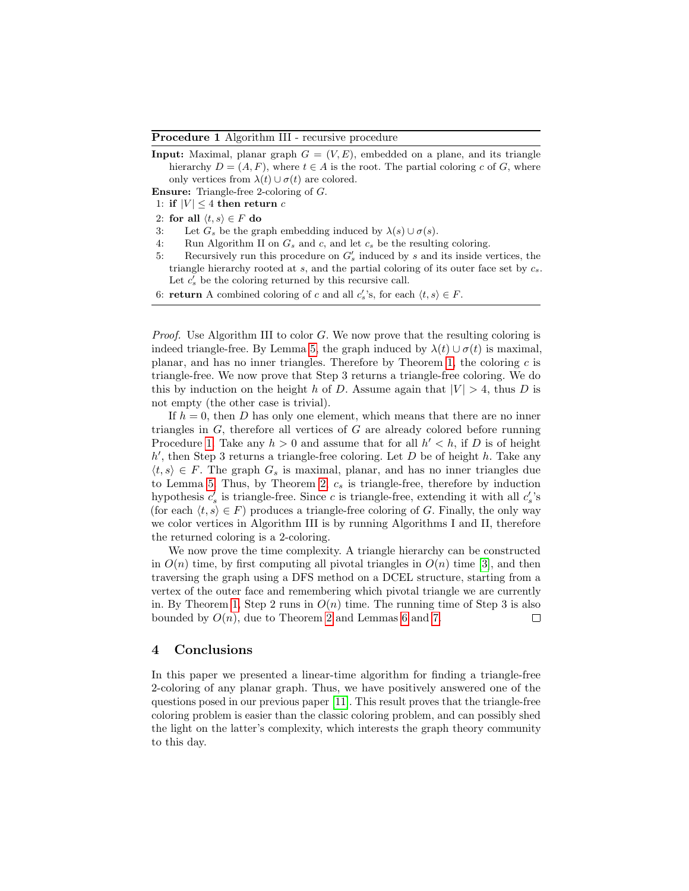<span id="page-9-0"></span>Procedure 1 Algorithm III - recursive procedure

**Input:** Maximal, planar graph  $G = (V, E)$ , embedded on a plane, and its triangle hierarchy  $D = (A, F)$ , where  $t \in A$  is the root. The partial coloring c of G, where only vertices from  $\lambda(t) \cup \sigma(t)$  are colored.

Ensure: Triangle-free 2-coloring of G.

- 1: if  $|V| \leq 4$  then return c
- 2: for all  $\langle t, s \rangle \in F$  do
- 3: Let  $G_s$  be the graph embedding induced by  $\lambda(s) \cup \sigma(s)$ .
- 4: Run Algorithm II on  $G_s$  and  $c$ , and let  $c_s$  be the resulting coloring.
- 5: Recursively run this procedure on  $G'_{s}$  induced by s and its inside vertices, the triangle hierarchy rooted at  $s$ , and the partial coloring of its outer face set by  $c_s$ . Let  $c'_{s}$  be the coloring returned by this recursive call.
- 6: **return** A combined coloring of c and all  $c'_s$ 's, for each  $\langle t, s \rangle \in F$ .

*Proof.* Use Algorithm III to color  $G$ . We now prove that the resulting coloring is indeed triangle-free. By Lemma [5,](#page-8-1) the graph induced by  $\lambda(t) \cup \sigma(t)$  is maximal. planar, and has no inner triangles. Therefore by Theorem [1,](#page-4-2) the coloring  $c$  is triangle-free. We now prove that Step 3 returns a triangle-free coloring. We do this by induction on the height h of D. Assume again that  $|V| > 4$ , thus D is not empty (the other case is trivial).

If  $h = 0$ , then D has only one element, which means that there are no inner triangles in G, therefore all vertices of G are already colored before running Procedure [1.](#page-9-0) Take any  $h > 0$  and assume that for all  $h' < h$ , if D is of height  $h'$ , then Step 3 returns a triangle-free coloring. Let  $D$  be of height  $h$ . Take any  $\langle t, s \rangle \in F$ . The graph  $G_s$  is maximal, planar, and has no inner triangles due to Lemma [5.](#page-8-1) Thus, by Theorem [2,](#page-5-1)  $c_s$  is triangle-free, therefore by induction hypothesis  $c'_s$  is triangle-free. Since c is triangle-free, extending it with all  $c'_s$ 's (for each  $\langle t, s \rangle \in F$ ) produces a triangle-free coloring of G. Finally, the only way we color vertices in Algorithm III is by running Algorithms I and II, therefore the returned coloring is a 2-coloring.

We now prove the time complexity. A triangle hierarchy can be constructed in  $O(n)$  time, by first computing all pivotal triangles in  $O(n)$  time [\[3\]](#page-10-14), and then traversing the graph using a DFS method on a DCEL structure, starting from a vertex of the outer face and remembering which pivotal triangle we are currently in. By Theorem [1,](#page-4-2) Step 2 runs in  $O(n)$  time. The running time of Step 3 is also bounded by  $O(n)$ , due to Theorem [2](#page-5-1) and Lemmas [6](#page-8-2) and [7.](#page-8-3)  $\Box$ 

### 4 Conclusions

In this paper we presented a linear-time algorithm for finding a triangle-free 2-coloring of any planar graph. Thus, we have positively answered one of the questions posed in our previous paper [\[11\]](#page-10-1). This result proves that the triangle-free coloring problem is easier than the classic coloring problem, and can possibly shed the light on the latter's complexity, which interests the graph theory community to this day.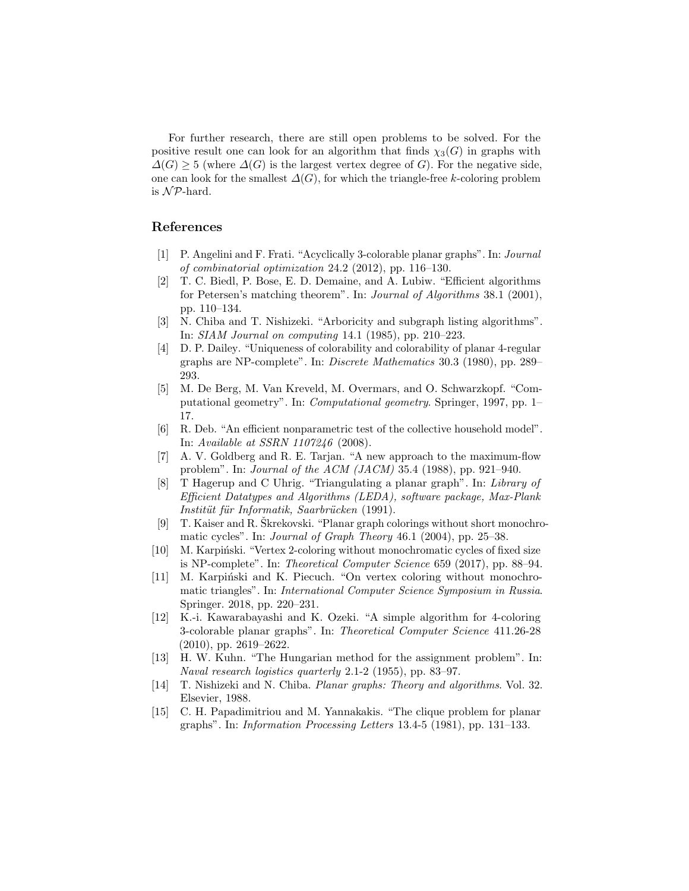For further research, there are still open problems to be solved. For the positive result one can look for an algorithm that finds  $\chi_3(G)$  in graphs with  $\Delta(G) \geq 5$  (where  $\Delta(G)$  is the largest vertex degree of G). For the negative side, one can look for the smallest  $\Delta(G)$ , for which the triangle-free k-coloring problem is  $N\mathcal{P}$ -hard.

# References

- <span id="page-10-4"></span>[1] P. Angelini and F. Frati. "Acyclically 3-colorable planar graphs". In: Journal of combinatorial optimization 24.2 (2012), pp. 116–130.
- <span id="page-10-11"></span>[2] T. C. Biedl, P. Bose, E. D. Demaine, and A. Lubiw. "Efficient algorithms for Petersen's matching theorem". In: Journal of Algorithms 38.1 (2001), pp. 110–134.
- <span id="page-10-14"></span>[3] N. Chiba and T. Nishizeki. "Arboricity and subgraph listing algorithms". In: SIAM Journal on computing 14.1 (1985), pp. 210–223.
- <span id="page-10-7"></span>[4] D. P. Dailey. "Uniqueness of colorability and colorability of planar 4-regular graphs are NP-complete". In: Discrete Mathematics 30.3 (1980), pp. 289– 293.
- <span id="page-10-12"></span>[5] M. De Berg, M. Van Kreveld, M. Overmars, and O. Schwarzkopf. "Computational geometry". In: Computational geometry. Springer, 1997, pp. 1– 17.
- <span id="page-10-0"></span>[6] R. Deb. "An efficient nonparametric test of the collective household model". In: Available at SSRN 1107246 (2008).
- <span id="page-10-13"></span>[7] A. V. Goldberg and R. E. Tarjan. "A new approach to the maximum-flow problem". In: Journal of the ACM (JACM) 35.4 (1988), pp. 921–940.
- <span id="page-10-8"></span>[8] T Hagerup and C Uhrig. "Triangulating a planar graph". In: Library of Efficient Datatypes and Algorithms (LEDA), software package, Max-Plank Institüt für Informatik, Saarbrücken (1991).
- <span id="page-10-5"></span>[9] T. Kaiser and R. Skrekovski. "Planar graph colorings without short monochromatic cycles". In: Journal of Graph Theory 46.1 (2004), pp. 25–38.
- <span id="page-10-6"></span>[10] M. Karpiński. "Vertex 2-coloring without monochromatic cycles of fixed size is NP-complete". In: Theoretical Computer Science 659 (2017), pp. 88–94.
- <span id="page-10-1"></span>[11] M. Karpiński and K. Piecuch. "On vertex coloring without monochromatic triangles". In: International Computer Science Symposium in Russia. Springer. 2018, pp. 220–231.
- <span id="page-10-3"></span>[12] K.-i. Kawarabayashi and K. Ozeki. "A simple algorithm for 4-coloring 3-colorable planar graphs". In: Theoretical Computer Science 411.26-28 (2010), pp. 2619–2622.
- <span id="page-10-10"></span>[13] H. W. Kuhn. "The Hungarian method for the assignment problem". In: Naval research logistics quarterly 2.1-2 (1955), pp. 83–97.
- <span id="page-10-9"></span>[14] T. Nishizeki and N. Chiba. Planar graphs: Theory and algorithms. Vol. 32. Elsevier, 1988.
- <span id="page-10-2"></span>[15] C. H. Papadimitriou and M. Yannakakis. "The clique problem for planar graphs". In: Information Processing Letters 13.4-5 (1981), pp. 131–133.